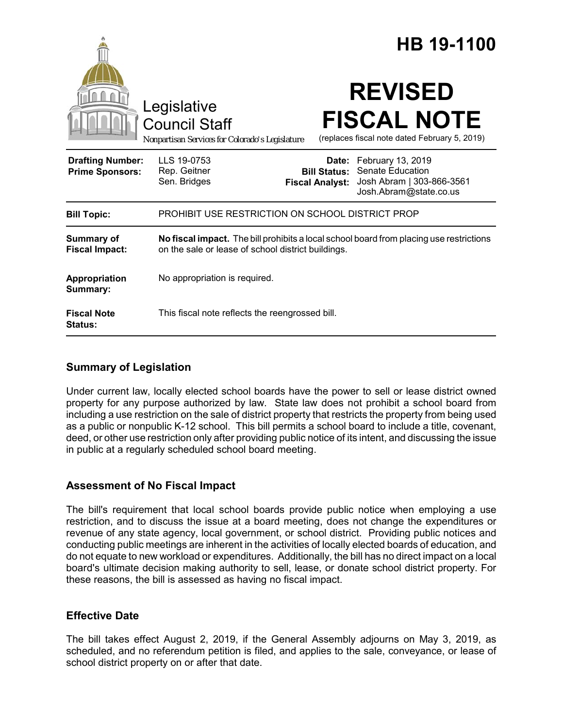|                                                   |                                                                                                                                               |                        | HB 19-1100                                                                                                             |
|---------------------------------------------------|-----------------------------------------------------------------------------------------------------------------------------------------------|------------------------|------------------------------------------------------------------------------------------------------------------------|
|                                                   | Legislative<br><b>Council Staff</b><br>Nonpartisan Services for Colorado's Legislature                                                        |                        | <b>REVISED</b><br><b>FISCAL NOTE</b><br>(replaces fiscal note dated February 5, 2019)                                  |
| <b>Drafting Number:</b><br><b>Prime Sponsors:</b> | LLS 19-0753<br>Rep. Geitner<br>Sen. Bridges                                                                                                   | <b>Fiscal Analyst:</b> | Date: February 13, 2019<br><b>Bill Status: Senate Education</b><br>Josh Abram   303-866-3561<br>Josh.Abram@state.co.us |
| <b>Bill Topic:</b>                                | <b>PROHIBIT USE RESTRICTION ON SCHOOL DISTRICT PROP</b>                                                                                       |                        |                                                                                                                        |
| <b>Summary of</b><br><b>Fiscal Impact:</b>        | No fiscal impact. The bill prohibits a local school board from placing use restrictions<br>on the sale or lease of school district buildings. |                        |                                                                                                                        |
| Appropriation<br>Summary:                         | No appropriation is required.                                                                                                                 |                        |                                                                                                                        |
| <b>Fiscal Note</b><br>Status:                     | This fiscal note reflects the reengrossed bill.                                                                                               |                        |                                                                                                                        |

## **Summary of Legislation**

Under current law, locally elected school boards have the power to sell or lease district owned property for any purpose authorized by law. State law does not prohibit a school board from including a use restriction on the sale of district property that restricts the property from being used as a public or nonpublic K-12 school. This bill permits a school board to include a title, covenant, deed, or other use restriction only after providing public notice of its intent, and discussing the issue in public at a regularly scheduled school board meeting.

#### **Assessment of No Fiscal Impact**

The bill's requirement that local school boards provide public notice when employing a use restriction, and to discuss the issue at a board meeting, does not change the expenditures or revenue of any state agency, local government, or school district. Providing public notices and conducting public meetings are inherent in the activities of locally elected boards of education, and do not equate to new workload or expenditures. Additionally, the bill has no direct impact on a local board's ultimate decision making authority to sell, lease, or donate school district property. For these reasons, the bill is assessed as having no fiscal impact.

## **Effective Date**

The bill takes effect August 2, 2019, if the General Assembly adjourns on May 3, 2019, as scheduled, and no referendum petition is filed, and applies to the sale, conveyance, or lease of school district property on or after that date.